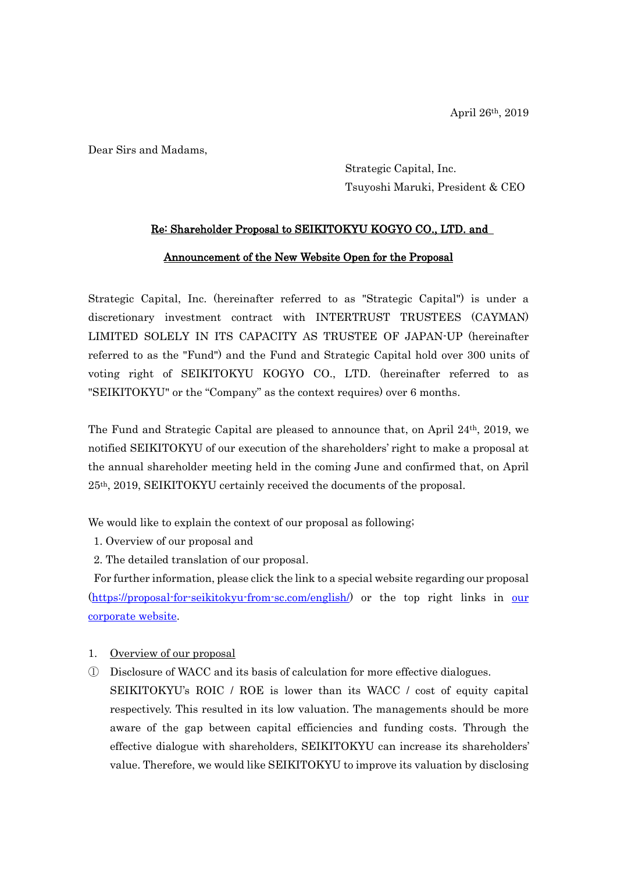Dear Sirs and Madams,

Strategic Capital, Inc. Tsuyoshi Maruki, President & CEO

# Re: Shareholder Proposal to SEIKITOKYU KOGYO CO., LTD. and

### Announcement of the New Website Open for the Proposal

Strategic Capital, Inc. (hereinafter referred to as "Strategic Capital") is under a discretionary investment contract with INTERTRUST TRUSTEES (CAYMAN) LIMITED SOLELY IN ITS CAPACITY AS TRUSTEE OF JAPAN-UP (hereinafter referred to as the "Fund") and the Fund and Strategic Capital hold over 300 units of voting right of SEIKITOKYU KOGYO CO., LTD. (hereinafter referred to as "SEIKITOKYU" or the "Company" as the context requires) over 6 months.

The Fund and Strategic Capital are pleased to announce that, on April 24th, 2019, we notified SEIKITOKYU of our execution of the shareholders' right to make a proposal at the annual shareholder meeting held in the coming June and confirmed that, on April 25th, 2019, SEIKITOKYU certainly received the documents of the proposal.

We would like to explain the context of our proposal as following;

- 1. Overview of our proposal and
- 2. The detailed translation of our proposal.

For further information, please click the link to a special website regarding our proposal [\(https://proposal-for-seikitokyu-from-sc.com/english/\)](https://proposal-for-seikitokyu-from-sc.com/english/) or the top right links in our [corporate website.](https://stracap.jp/english/)

- 1. Overview of our proposal
- ① Disclosure of WACC and its basis of calculation for more effective dialogues.

SEIKITOKYU's ROIC / ROE is lower than its WACC / cost of equity capital respectively. This resulted in its low valuation. The managements should be more aware of the gap between capital efficiencies and funding costs. Through the effective dialogue with shareholders, SEIKITOKYU can increase its shareholders' value. Therefore, we would like SEIKITOKYU to improve its valuation by disclosing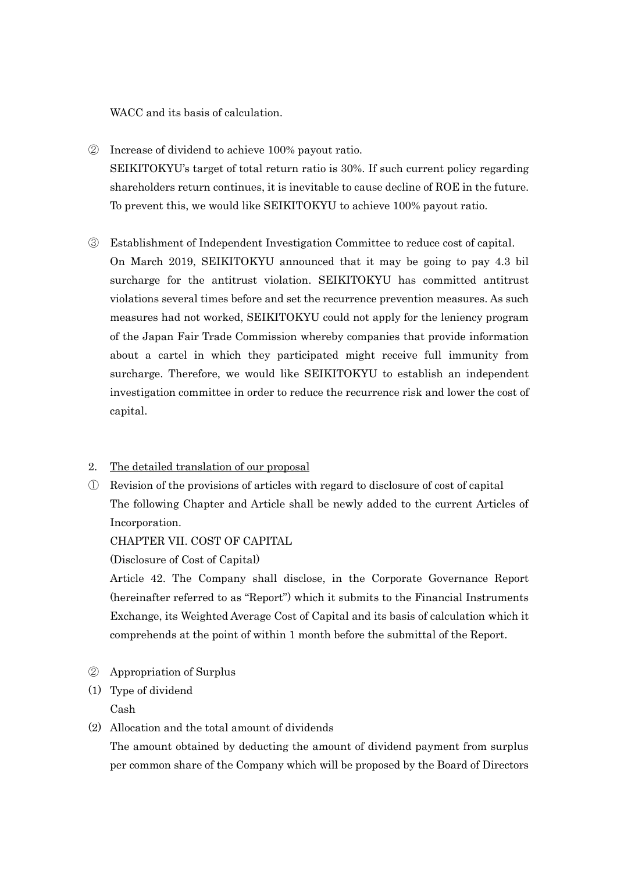WACC and its basis of calculation.

- ② Increase of dividend to achieve 100% payout ratio. SEIKITOKYU's target of total return ratio is 30%. If such current policy regarding shareholders return continues, it is inevitable to cause decline of ROE in the future. To prevent this, we would like SEIKITOKYU to achieve 100% payout ratio.
- ③ Establishment of Independent Investigation Committee to reduce cost of capital. On March 2019, SEIKITOKYU announced that it may be going to pay 4.3 bil surcharge for the antitrust violation. SEIKITOKYU has committed antitrust violations several times before and set the recurrence prevention measures. As such measures had not worked, SEIKITOKYU could not apply for the leniency program of the Japan Fair Trade Commission whereby companies that provide information about a cartel in which they participated might receive full immunity from surcharge. Therefore, we would like SEIKITOKYU to establish an independent investigation committee in order to reduce the recurrence risk and lower the cost of capital.

# 2. The detailed translation of our proposal

① Revision of the provisions of articles with regard to disclosure of cost of capital The following Chapter and Article shall be newly added to the current Articles of Incorporation.

#### CHAPTER VII. COST OF CAPITAL

(Disclosure of Cost of Capital)

Article 42. The Company shall disclose, in the Corporate Governance Report (hereinafter referred to as "Report") which it submits to the Financial Instruments Exchange, its Weighted Average Cost of Capital and its basis of calculation which it comprehends at the point of within 1 month before the submittal of the Report.

- ② Appropriation of Surplus
- (1) Type of dividend

Cash

(2) Allocation and the total amount of dividends

The amount obtained by deducting the amount of dividend payment from surplus per common share of the Company which will be proposed by the Board of Directors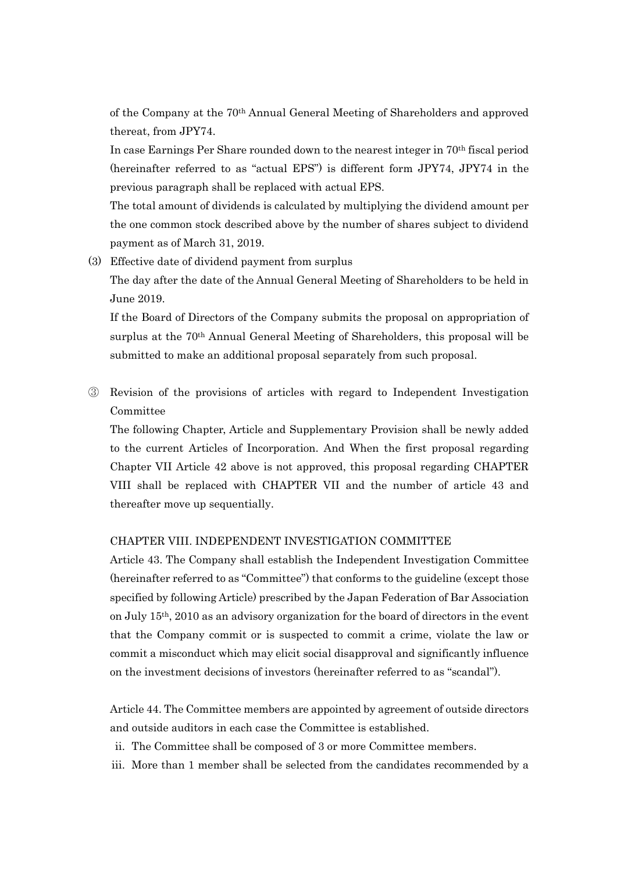of the Company at the 70th Annual General Meeting of Shareholders and approved thereat, from JPY74.

In case Earnings Per Share rounded down to the nearest integer in 70th fiscal period (hereinafter referred to as "actual EPS") is different form JPY74, JPY74 in the previous paragraph shall be replaced with actual EPS.

The total amount of dividends is calculated by multiplying the dividend amount per the one common stock described above by the number of shares subject to dividend payment as of March 31, 2019.

(3) Effective date of dividend payment from surplus

The day after the date of the Annual General Meeting of Shareholders to be held in June 2019.

If the Board of Directors of the Company submits the proposal on appropriation of surplus at the 70th Annual General Meeting of Shareholders, this proposal will be submitted to make an additional proposal separately from such proposal.

③ Revision of the provisions of articles with regard to Independent Investigation Committee

The following Chapter, Article and Supplementary Provision shall be newly added to the current Articles of Incorporation. And When the first proposal regarding Chapter VII Article 42 above is not approved, this proposal regarding CHAPTER VIII shall be replaced with CHAPTER VII and the number of article 43 and thereafter move up sequentially.

#### CHAPTER VIII. INDEPENDENT INVESTIGATION COMMITTEE

Article 43. The Company shall establish the Independent Investigation Committee (hereinafter referred to as "Committee") that conforms to the guideline (except those specified by following Article) prescribed by the Japan Federation of Bar Association on July 15th, 2010 as an advisory organization for the board of directors in the event that the Company commit or is suspected to commit a crime, violate the law or commit a misconduct which may elicit social disapproval and significantly influence on the investment decisions of investors (hereinafter referred to as "scandal").

Article 44. The Committee members are appointed by agreement of outside directors and outside auditors in each case the Committee is established.

- ii. The Committee shall be composed of 3 or more Committee members.
- iii. More than 1 member shall be selected from the candidates recommended by a